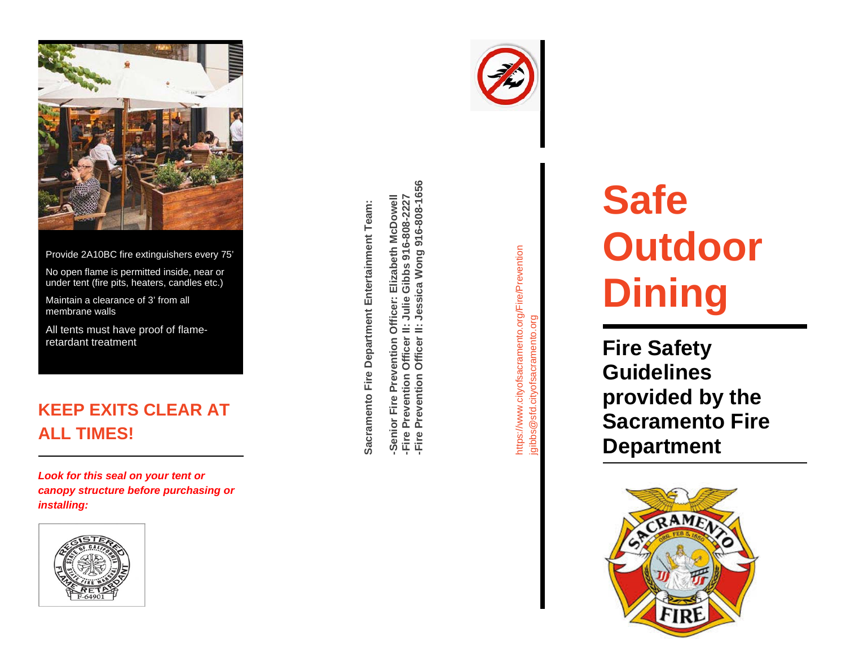

Provide 2A10BC fire extinguishers every 75'

No open flame is permitted inside, near or under tent (fire pits, heaters, candles etc.)

Maintain a clearance of 3' from all membrane walls

All tents must have proof of flame retardant treatment

## **KEEP EXITS CLEAR AT ALL TIMES!**

*Look for this seal on your tent or canopy structure before purchasing or installing:*



Sacramento Fire Department Entertainment Team: **Sacramento Fire Department Entertainment Team:**

-Fire Prevention Officer II: Julie Gibbs 916-808-2227<br>-Fire Prevention Officer II: Jessica Wong 916-808-1656 **-Fire Prevention Officer II: Jessica Wong 916-808-1656** Elizabeth McDowell **-Senior Fire Prevention Officer: Elizabeth McDowell -Fire Prevention Officer II: Julie Gibbs 916-808-2227** Officer: Prevention Fire I -Senior<br>-Fire Pre



https://www.cityofsacramento.org/Fire/Prevention https://www.cityofsacramento.org/Fire/Prevention jgibbs@sfd.cityofsacramento.org gibbs@sfd.cityofsacramento.org

# **Safe Outdoor Dining**

**Fire Safety Guidelines provided by the Sacramento Fire Department**